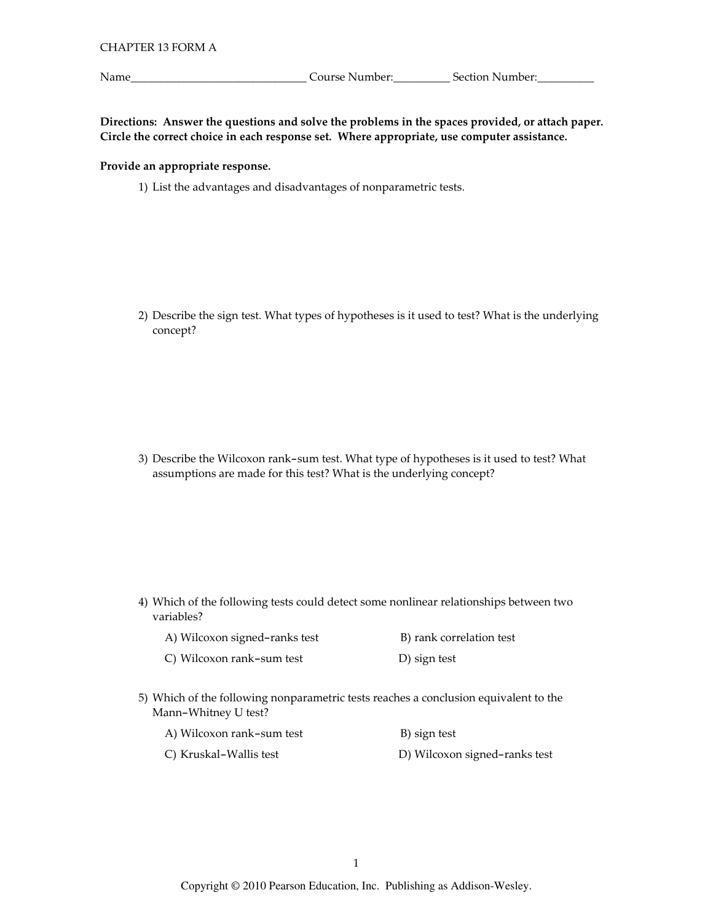Name\_

<u>\_\_\_\_\_\_\_\_\_\_\_\_\_\_\_\_\_\_\_\_\_\_\_\_\_\_\_\_\_\_\_\_\_\_</u> Course Number:\_\_\_\_\_\_\_\_\_\_\_\_\_\_\_Section Number:\_\_\_\_\_\_\_\_\_\_\_\_\_\_\_\_\_\_\_

Directions: Answer the questions and solve the problems in the spaces provided, or attach paper. Circle the correct choice in each response set. Where appropriate, use computer assistance.

### Provide an appropriate response.

1) List the advantages and disadvantages of nonparametric tests.

2) Describe the sign test. What types of hypotheses is it used to test? What is the underlying concept?

3) Describe the Wilcoxon rank-sum test. What type of hypotheses is it used to test? What assumptions are made for this test? What is the underlying concept?

4) Which of the following tests could detect some nonlinear relationships between two variables?

| A) Wilcoxon signed-ranks test | B) rank correlation test |
|-------------------------------|--------------------------|
| C) Wilcoxon rank-sum test     | D) sign test             |

5) Which of the following nonparametric tests reaches a conclusion equivalent to the Mann-Whitney U test?

| A) Wilcoxon rank-sum test | B) sign test                  |
|---------------------------|-------------------------------|
| C) Kruskal-Wallis test    | D) Wilcoxon signed-ranks test |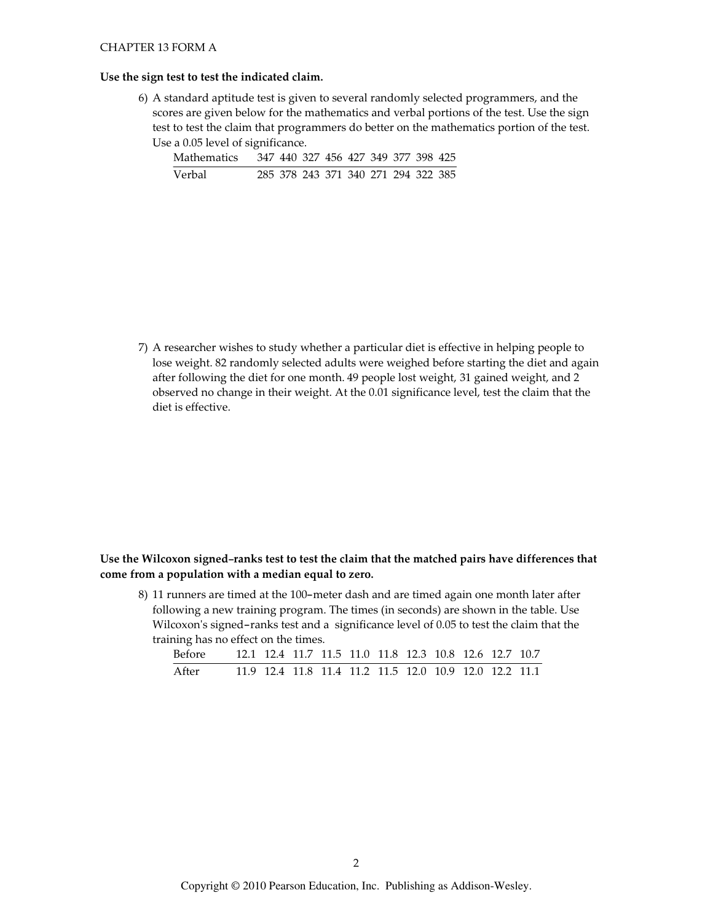### CHAPTER 13 FORM A

#### Use the sign test to test the indicated claim.

6) A standard aptitude test is given to several randomly selected programmers, and the scores are given below for the mathematics and verbal portions of the test. Use the sign test to test the claim that programmers do better on the mathematics portion of the test. Use a 0.05 level of significance.

| <b>Mathematics</b> |  |  |  | 347 440 327 456 427 349 377 398 425 |  |
|--------------------|--|--|--|-------------------------------------|--|
| Verbal             |  |  |  | 285 378 243 371 340 271 294 322 385 |  |

7) A researcher wishes to study whether a particular diet is effective in helping people to lose weight. 82 randomly selected adults were weighed before starting the diet and again after following the diet for one month. 49 people lost weight, 31 gained weight, and 2 observed no change in their weight. At the 0.01 significance level, test the claim that the diet is effective.

# Use the Wilcoxon signed-ranks test to test the claim that the matched pairs have differences that come from a population with a median equal to zero.

8) 11 runners are timed at the 100-meter dash and are timed again one month later after following a new training program. The times (in seconds) are shown in the table. Use Wilcoxon's signed-ranks test and a significance level of 0.05 to test the claim that the training has no effect on the times.

| Before |  |  |  | 12.1 12.4 11.7 11.5 11.0 11.8 12.3 10.8 12.6 12.7 10.7 |  |  |
|--------|--|--|--|--------------------------------------------------------|--|--|
| After  |  |  |  | 11.9 12.4 11.8 11.4 11.2 11.5 12.0 10.9 12.0 12.2 11.1 |  |  |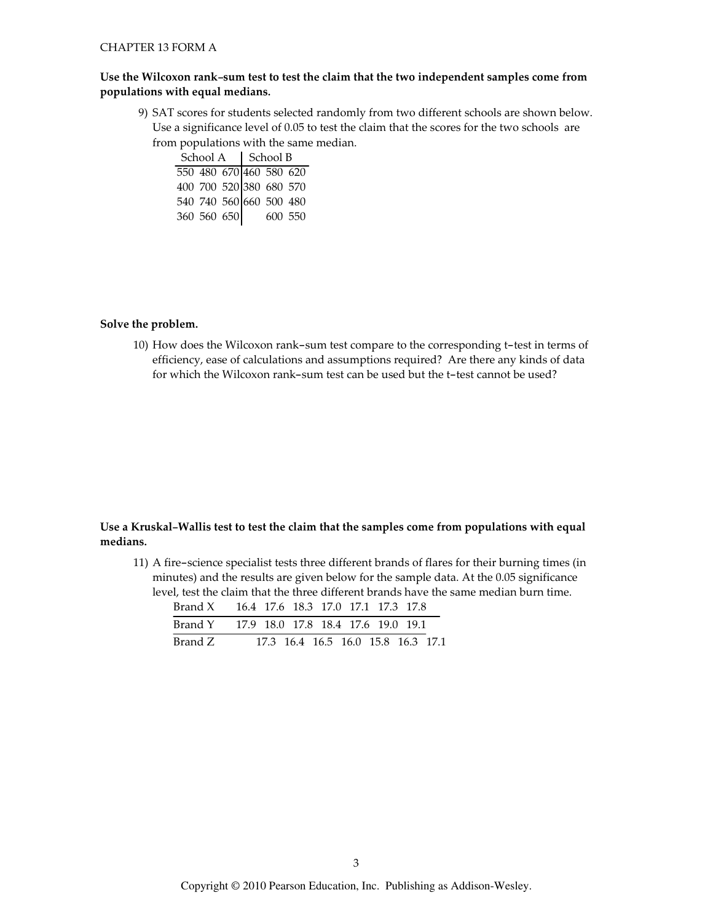# Use the Wilcoxon rank-sum test to test the claim that the two independent samples come from populations with equal medians.

9) SAT scores for students selected randomly from two different schools are shown below. Use a significance level of 0.05 to test the claim that the scores for the two schools are from populations with the same median.

School A School B 550 480 670 460 580 620 400 700 520 380 680 570 540 740 560 660 500 480 360 560 650 600 550

Solve the problem.

10) How does the Wilcoxon rank-sum test compare to the corresponding t-test in terms of efficiency, ease of calculations and assumptions required? Are there any kinds of data for which the Wilcoxon rank-sum test can be used but the t-test cannot be used?

## Use a Kruskal-Wallis test to test the claim that the samples come from populations with equal medians.

11) A fire-science specialist tests three different brands of flares for their burning times (in minutes) and the results are given below for the sample data. At the 0.05 significance level, test the claim that the three different brands have the same median burn time.

| Brand X 16.4 17.6 18.3 17.0 17.1 17.3 17.8 |                                    |  |  |  |
|--------------------------------------------|------------------------------------|--|--|--|
| Brand Y 17.9 18.0 17.8 18.4 17.6 19.0 19.1 |                                    |  |  |  |
| Brand Z                                    | 17.3 16.4 16.5 16.0 15.8 16.3 17.1 |  |  |  |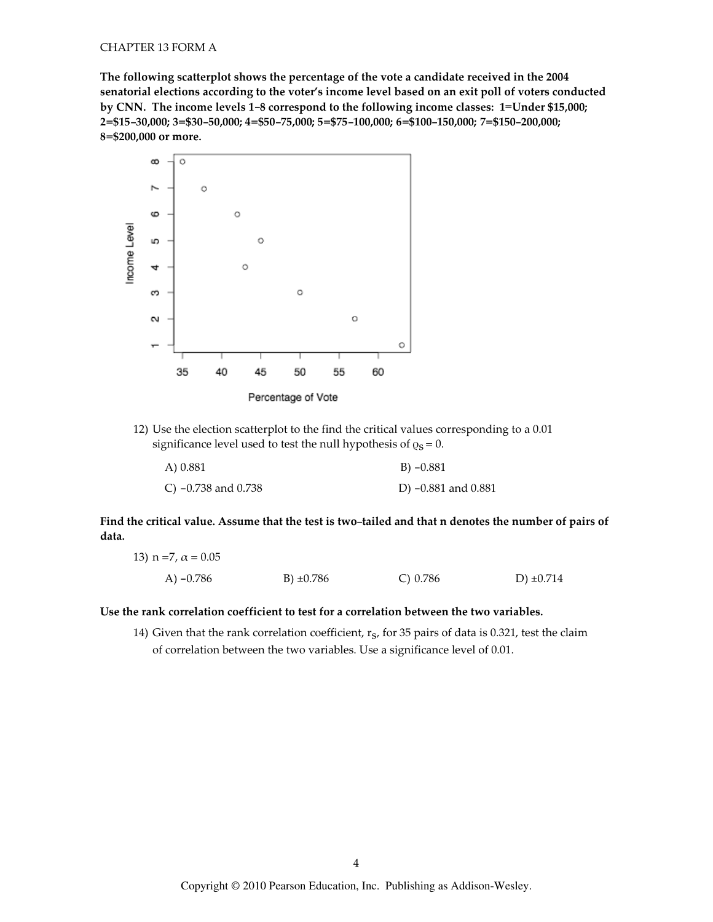The following scatterplot shows the percentage of the vote a candidate received in the 2004 senatorial elections according to the voter's income level based on an exit poll of voters conducted by CNN. The income levels 1-8 correspond to the following income classes: 1=Under \$15,000; 2=\$15-30,000; 3=\$30-50,000; 4=\$50-75,000; 5=\$75-100,000; 6=\$100-150,000; 7=\$150-200,000; 8=\$200,000 or more.



Percentage of Vote

12) Use the election scatterplot to the find the critical values corresponding to a 0.01 significance level used to test the null hypothesis of  $\varrho_S = 0$ .

| A) 0.881              | $B) -0.881$         |
|-----------------------|---------------------|
| C) $-0.738$ and 0.738 | D) -0.881 and 0.881 |

Find the critical value. Assume that the test is two-tailed and that n denotes the number of pairs of data.

| 13) n =7, $\alpha$ = 0.05 |                |            |                |
|---------------------------|----------------|------------|----------------|
| A) $-0.786$               | B) $\pm 0.786$ | C) $0.786$ | D) $\pm 0.714$ |

Use the rank correlation coefficient to test for a correlation between the two variables.

14) Given that the rank correlation coefficient,  $r_S$ , for 35 pairs of data is 0.321, test the claim of correlation between the two variables. Use a significance level of 0.01.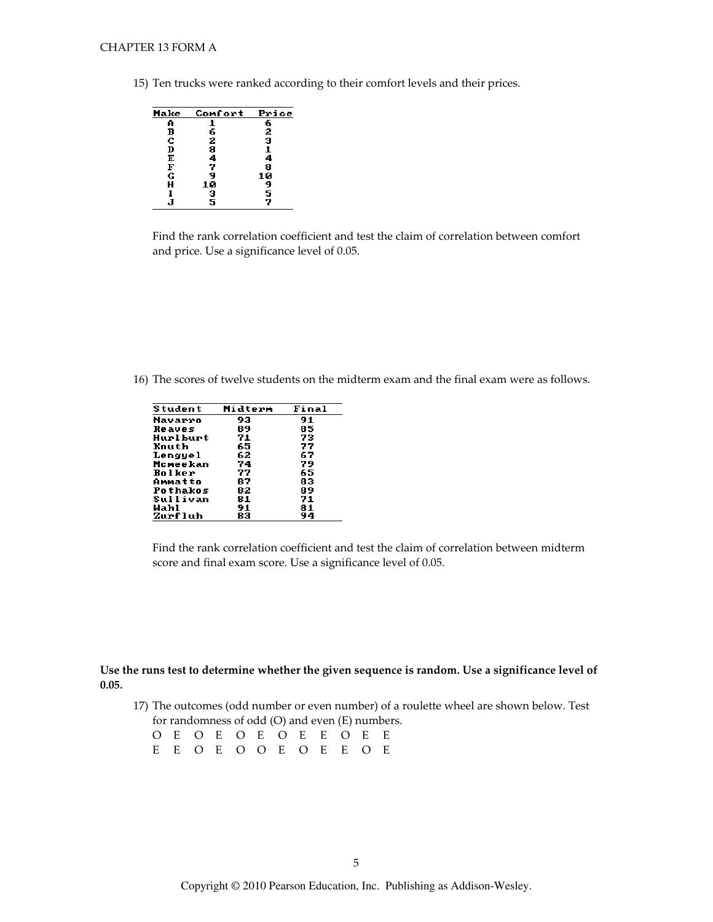15) Ten trucks were ranked according to their comfort levels and their prices.



Find the rank correlation coefficient and test the claim of correlation between comfort and price. Use a significance level of 0.05.

16) The scores of twelve students on the midterm exam and the final exam were as follows.

Find the rank correlation coefficient and test the claim of correlation between midterm score and final exam score. Use a significance level of 0.05.

### Use the runs test to determine whether the given sequence is random. Use a significance level of  $0.05.$

17) The outcomes (odd number or even number) of a roulette wheel are shown below. Test for randomness of odd (O) and even (E) numbers.

|  |  |  |  | O E O E O E O E E O E E |  |
|--|--|--|--|-------------------------|--|
|  |  |  |  | E E O E O O E O E E O E |  |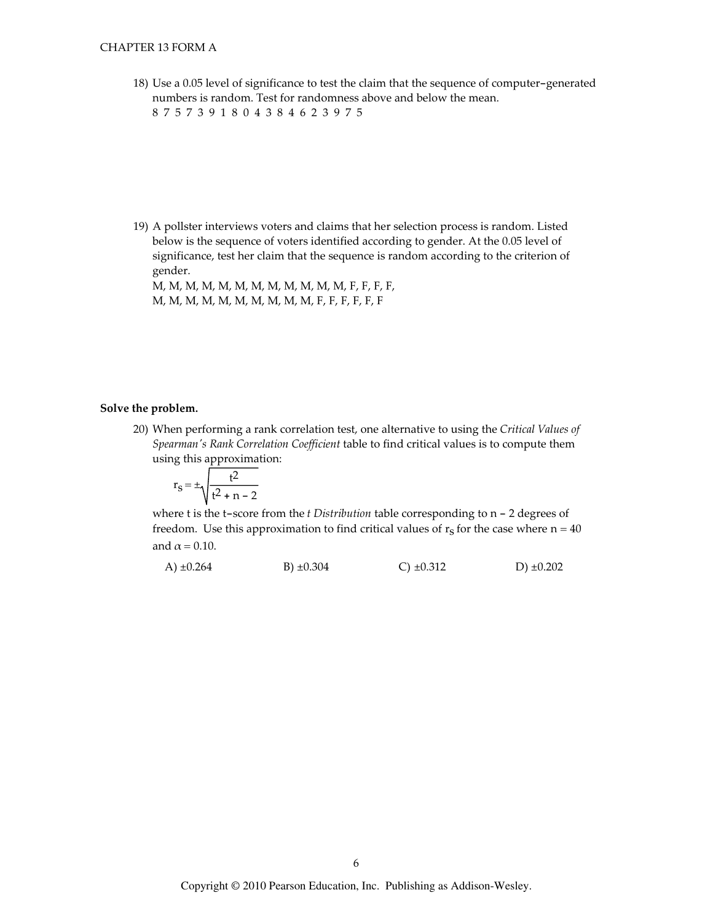18) Use a 0.05 level of significance to test the claim that the sequence of computer-generated numbers is random. Test for randomness above and below the mean.

8757391804384623975

19) A pollster interviews voters and claims that her selection process is random. Listed below is the sequence of voters identified according to gender. At the 0.05 level of significance, test her claim that the sequence is random according to the criterion of gender.

M, M, M, M, M, M, M, M, M, M, M, M, F, F, F, F, M, M, M, M, M, M, M, M, M, M, F, F, F, F, F, F

#### Solve the problem.

20) When performing a rank correlation test, one alternative to using the Critical Values of Spearman's Rank Correlation Coefficient table to find critical values is to compute them using this approximation:

$$
r_S = \pm \sqrt{\frac{t^2}{t^2 + n - 2}}
$$

where  $t$  is the  $t$ -score from the  $t$  Distribution table corresponding to  $n - 2$  degrees of freedom. Use this approximation to find critical values of  $r_s$  for the case where  $n = 40$ and  $\alpha$  = 0.10.

A) 
$$
\pm 0.264
$$
 \t\t B)  $\pm 0.304$  \t\t C)  $\pm 0.312$  \t\t D)  $\pm 0.202$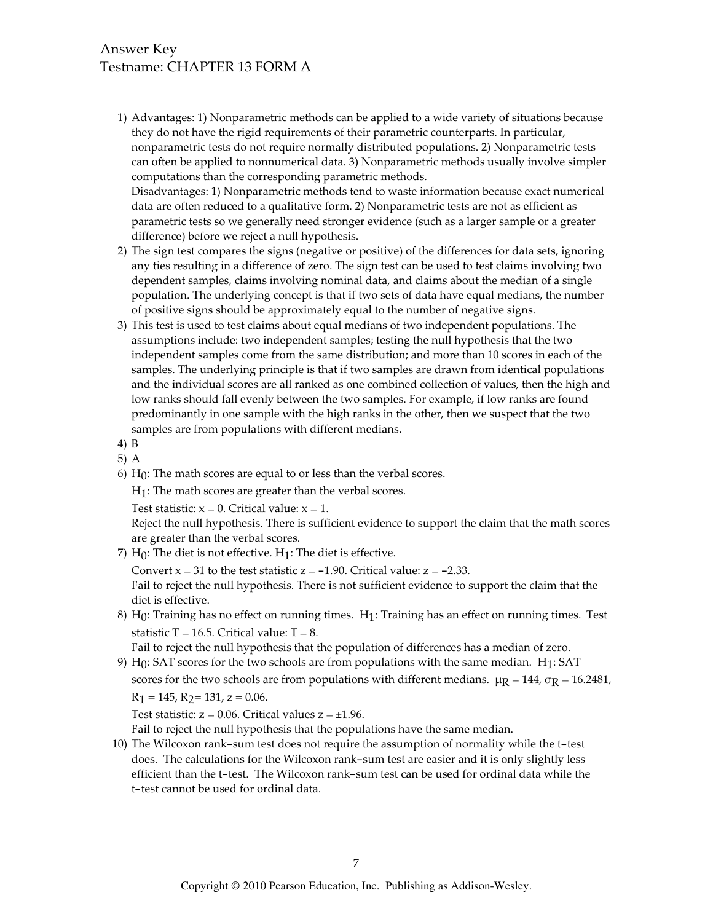# Answer Key Testname: CHAPTER 13 FORM A

1) Advantages: 1) Nonparametric methods can be applied to a wide variety of situations because they do not have the rigid requirements of their parametric counterparts. In particular, nonparametric tests do not require normally distributed populations. 2) Nonparametric tests can often be applied to nonnumerical data. 3) Nonparametric methods usually involve simpler computations than the corresponding parametric methods. Disadvantages: 1) Nonparametric methods tend to waste information because exact numerical

data are often reduced to a qualitative form. 2) Nonparametric tests are not as efficient as parametric tests so we generally need stronger evidence (such as a larger sample or a greater difference) before we reject a null hypothesis.

- 2) The sign test compares the signs (negative or positive) of the differences for data sets, ignoring any ties resulting in a difference of zero. The sign test can be used to test claims involving two dependent samples, claims involving nominal data, and claims about the median of a single population. The underlying concept is that if two sets of data have equal medians, the number of positive signs should be approximately equal to the number of negative signs.
- 3) This test is used to test claims about equal medians of two independent populations. The assumptions include: two independent samples; testing the null hypothesis that the two independent samples come from the same distribution; and more than 10 scores in each of the samples. The underlying principle is that if two samples are drawn from identical populations and the individual scores are all ranked as one combined collection of values, then the high and low ranks should fall evenly between the two samples. For example, if low ranks are found predominantly in one sample with the high ranks in the other, then we suspect that the two samples are from populations with different medians.
- 4) B
- $5)$  A
- 6)  $H_0$ : The math scores are equal to or less than the verbal scores.

 $H_1$ : The math scores are greater than the verbal scores.

Test statistic:  $x = 0$ . Critical value:  $x = 1$ .

Reject the null hypothesis. There is sufficient evidence to support the claim that the math scores are greater than the verbal scores.

7)  $H_0$ : The diet is not effective.  $H_1$ : The diet is effective.

Convert  $x = 31$  to the test statistic  $z = -1.90$ . Critical value:  $z = -2.33$ .

Fail to reject the null hypothesis. There is not sufficient evidence to support the claim that the diet is effective.

8) H<sub>0</sub>: Training has no effect on running times. H<sub>1</sub>: Training has an effect on running times. Test statistic T = 16.5. Critical value:  $T = 8$ .

Fail to reject the null hypothesis that the population of differences has a median of zero.

9)  $H_0$ : SAT scores for the two schools are from populations with the same median.  $H_1$ : SAT scores for the two schools are from populations with different medians.  $\mu$ R = 144,  $\sigma$ R = 16.2481,  $R_1 = 145$ ,  $R_2 = 131$ ,  $z = 0.06$ .

Test statistic:  $z = 0.06$ . Critical values  $z = \pm 1.96$ .

Fail to reject the null hypothesis that the populations have the same median.

10) The Wilcoxon rank-sum test does not require the assumption of normality while the t-test does. The calculations for the Wilcoxon rank-sum test are easier and it is only slightly less efficient than the t-test. The Wilcoxon rank-sum test can be used for ordinal data while the t-test cannot be used for ordinal data.